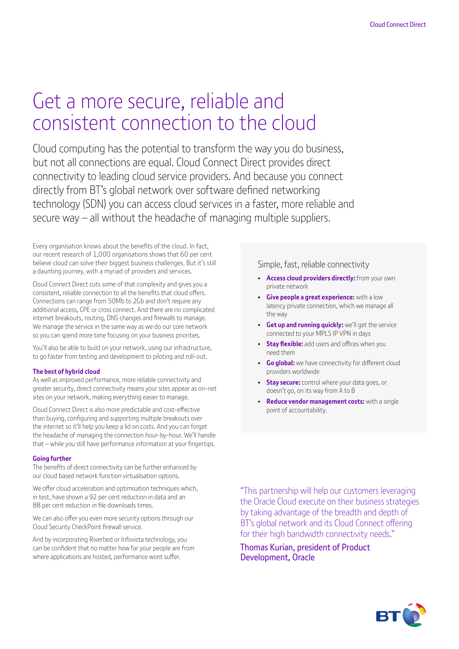# Get a more secure, reliable and consistent connection to the cloud

Cloud computing has the potential to transform the way you do business, but not all connections are equal. Cloud Connect Direct provides direct connectivity to leading cloud service providers. And because you connect directly from BT's global network over software defined networking technology (SDN) you can access cloud services in a faster, more reliable and secure way – all without the headache of managing multiple suppliers.

Every organisation knows about the benefits of the cloud. In fact, our recent research of 1,000 organisations shows that 60 per cent believe cloud can solve their biggest business challenges. But it's still a daunting journey, with a myriad of providers and services.

Cloud Connect Direct cuts some of that complexity and gives you a consistent, reliable connection to all the benefits that cloud offers. Connections can range from 50Mb to 2Gb and don't require any additional access, CPE or cross connect. And there are no complicated internet breakouts, routing, DNS changes and firewalls to manage. We manage the service in the same way as we do our core network so you can spend more time focusing on your business priorities.

You'll also be able to build on your network, using our infrastructure, to go faster from testing and development to piloting and roll-out.

### **The best of hybrid cloud**

As well as improved performance, more reliable connectivity and greater security, direct connectivity means your sites appear as on-net sites on your network, making everything easier to manage.

Cloud Connect Direct is also more predictable and cost-effective than buying, configuring and supporting multiple breakouts over the internet so it'll help you keep a lid on costs. And you can forget the headache of managing the connection hour-by-hour. We'll handle that – while you still have performance information at your fingertips.

#### **Going further**

The benefits of direct connectivity can be further enhanced by our cloud based network function virtualisation options.

We offer cloud acceleration and optimisation techniques which, in test, have shown a 92 per cent reduction in data and an 88 per cent reduction in file downloads times.

We can also offer you even more security options through our Cloud Security CheckPoint firewall service.

And by incorporating Riverbed or Infovista technology, you can be confident that no matter how far your people are from where applications are hosted, performance wont suffer.

Simple, fast, reliable connectivity

- **Access cloud providers directly:** from your own private network
- **Give people a great experience:** with a low latency private connection, which we manage all the way
- **Get up and running quickly:** we'll get the service connected to your MPLS IP VPN in days
- **Stay flexible:** add users and offices when you need them
- **Go global:** we have connectivity for different cloud providers worldwide
- **Stay secure:** control where your data goes, or doesn't go, on its way from A to B
- **Reduce vendor management costs:** with a single point of accountability.

"This partnership will help our customers leveraging the Oracle Cloud execute on their business strategies by taking advantage of the breadth and depth of BT's global network and its Cloud Connect offering for their high bandwidth connectivity needs."

Thomas Kurian, president of Product Development, Oracle